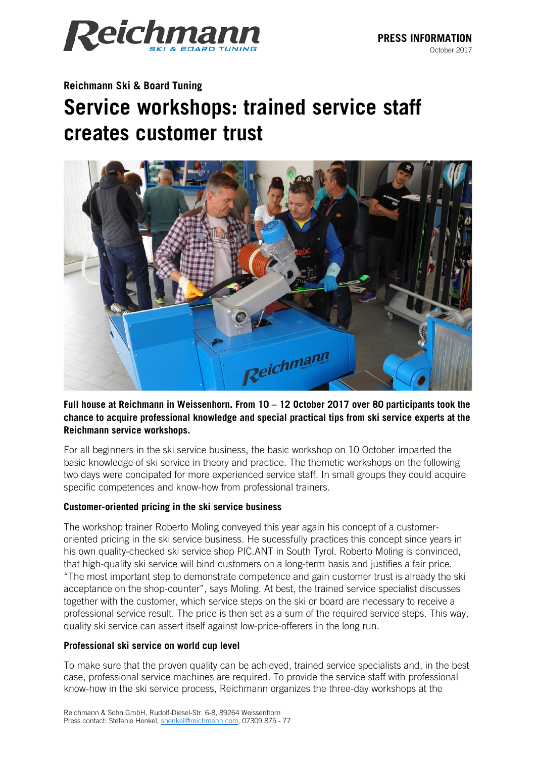

# **Reichmann Ski & Board Tuning Service workshops: trained service staff creates customer trust**



## **Full house at Reichmann in Weissenhorn. From 10 – 12 October 2017 over 80 participants took the chance to acquire professional knowledge and special practical tips from ski service experts at the Reichmann service workshops.**

For all beginners in the ski service business, the basic workshop on 10 October imparted the basic knowledge of ski service in theory and practice. The themetic workshops on the following two days were concipated for more experienced service staff. In small groups they could acquire specific competences and know-how from professional trainers.

### **Customer-oriented pricing in the ski service business**

The workshop trainer Roberto Moling conveyed this year again his concept of a customeroriented pricing in the ski service business. He sucessfully practices this concept since years in his own quality-checked ski service shop PIC.ANT in South Tyrol. Roberto Moling is convinced, that high-quality ski service will bind customers on a long-term basis and justifies a fair price. "The most important step to demonstrate competence and gain customer trust is already the ski acceptance on the shop-counter", says Moling. At best, the trained service specialist discusses together with the customer, which service steps on the ski or board are necessary to receive a professional service result. The price is then set as a sum of the required service steps. This way, quality ski service can assert itself against low-price-offerers in the long run.

### **Professional ski service on world cup level**

To make sure that the proven quality can be achieved, trained service specialists and, in the best case, professional service machines are required. To provide the service staff with professional know-how in the ski service process, Reichmann organizes the three-day workshops at the